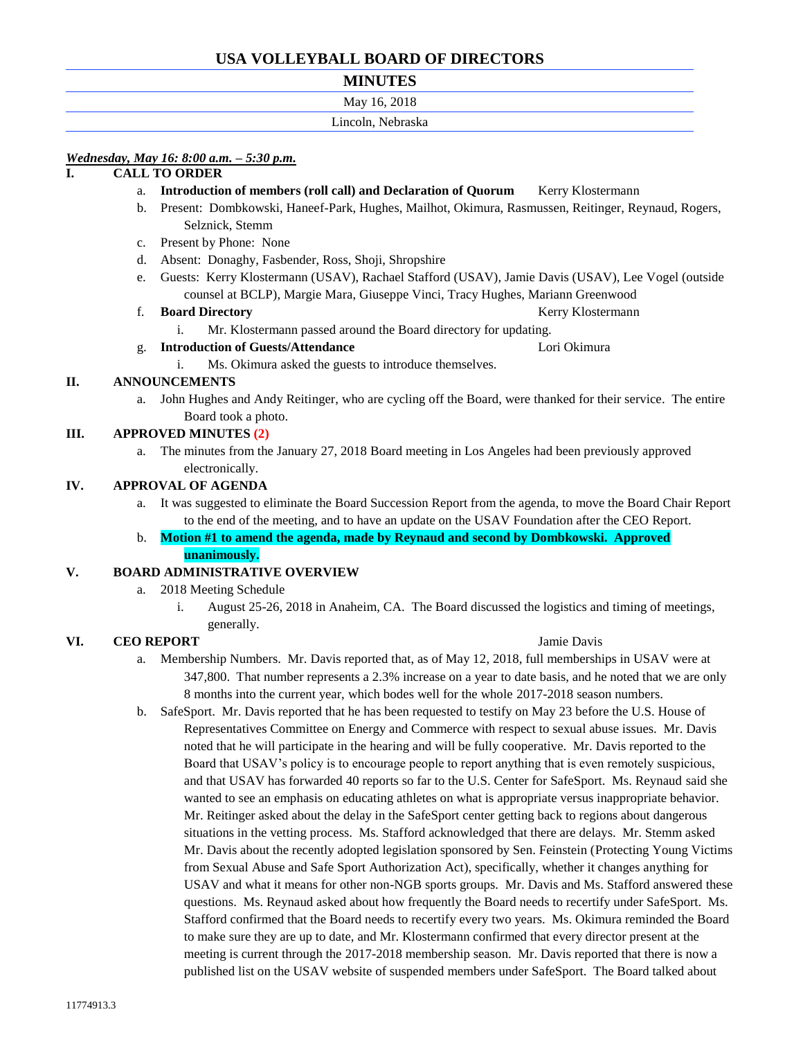# **USA VOLLEYBALL BOARD OF DIRECTORS**

# **MINUTES**

| May 16, 2018      |  |
|-------------------|--|
| Lincoln, Nebraska |  |

# *Wednesday, May 16: 8:00 a.m. – 5:30 p.m.*

# **I. CALL TO ORDER**

- a. **Introduction of members (roll call) and Declaration of Quorum** Kerry Klostermann
- b. Present: Dombkowski, Haneef-Park, Hughes, Mailhot, Okimura, Rasmussen, Reitinger, Reynaud, Rogers, Selznick, Stemm
- c. Present by Phone: None
- d. Absent: Donaghy, Fasbender, Ross, Shoji, Shropshire
- e. Guests: Kerry Klostermann (USAV), Rachael Stafford (USAV), Jamie Davis (USAV), Lee Vogel (outside counsel at BCLP), Margie Mara, Giuseppe Vinci, Tracy Hughes, Mariann Greenwood

f. **Board Directory Board Directory Reserves Reserves Reserves Reserves Reserves Reserves Reserves Reserves Reserves Reserves Reserves Reserves Reserves Reserves Reserves Reserves Reserv** 

i. Mr. Klostermann passed around the Board directory for updating.

- g. **Introduction of Guests/Attendance** Lori Okimura
	- i. Ms. Okimura asked the guests to introduce themselves.

# **II. ANNOUNCEMENTS**

John Hughes and Andy Reitinger, who are cycling off the Board, were thanked for their service. The entire Board took a photo.

## **III. APPROVED MINUTES (2)**

a. The minutes from the January 27, 2018 Board meeting in Los Angeles had been previously approved electronically.

### **IV. APPROVAL OF AGENDA**

- a. It was suggested to eliminate the Board Succession Report from the agenda, to move the Board Chair Report to the end of the meeting, and to have an update on the USAV Foundation after the CEO Report.
- b. **Motion #1 to amend the agenda, made by Reynaud and second by Dombkowski. Approved unanimously.**

### **V. BOARD ADMINISTRATIVE OVERVIEW**

- a. 2018 Meeting Schedule
	- i. August 25-26, 2018 in Anaheim, CA. The Board discussed the logistics and timing of meetings, generally.

# **VI. CEO REPORT** Jamie Davis

- a. Membership Numbers. Mr. Davis reported that, as of May 12, 2018, full memberships in USAV were at 347,800. That number represents a 2.3% increase on a year to date basis, and he noted that we are only 8 months into the current year, which bodes well for the whole 2017-2018 season numbers.
- b. SafeSport. Mr. Davis reported that he has been requested to testify on May 23 before the U.S. House of Representatives Committee on Energy and Commerce with respect to sexual abuse issues. Mr. Davis noted that he will participate in the hearing and will be fully cooperative. Mr. Davis reported to the Board that USAV's policy is to encourage people to report anything that is even remotely suspicious, and that USAV has forwarded 40 reports so far to the U.S. Center for SafeSport. Ms. Reynaud said she wanted to see an emphasis on educating athletes on what is appropriate versus inappropriate behavior. Mr. Reitinger asked about the delay in the SafeSport center getting back to regions about dangerous situations in the vetting process. Ms. Stafford acknowledged that there are delays. Mr. Stemm asked Mr. Davis about the recently adopted legislation sponsored by Sen. Feinstein (Protecting Young Victims from Sexual Abuse and Safe Sport Authorization Act), specifically, whether it changes anything for USAV and what it means for other non-NGB sports groups. Mr. Davis and Ms. Stafford answered these questions. Ms. Reynaud asked about how frequently the Board needs to recertify under SafeSport. Ms. Stafford confirmed that the Board needs to recertify every two years. Ms. Okimura reminded the Board to make sure they are up to date, and Mr. Klostermann confirmed that every director present at the meeting is current through the 2017-2018 membership season. Mr. Davis reported that there is now a published list on the USAV website of suspended members under SafeSport. The Board talked about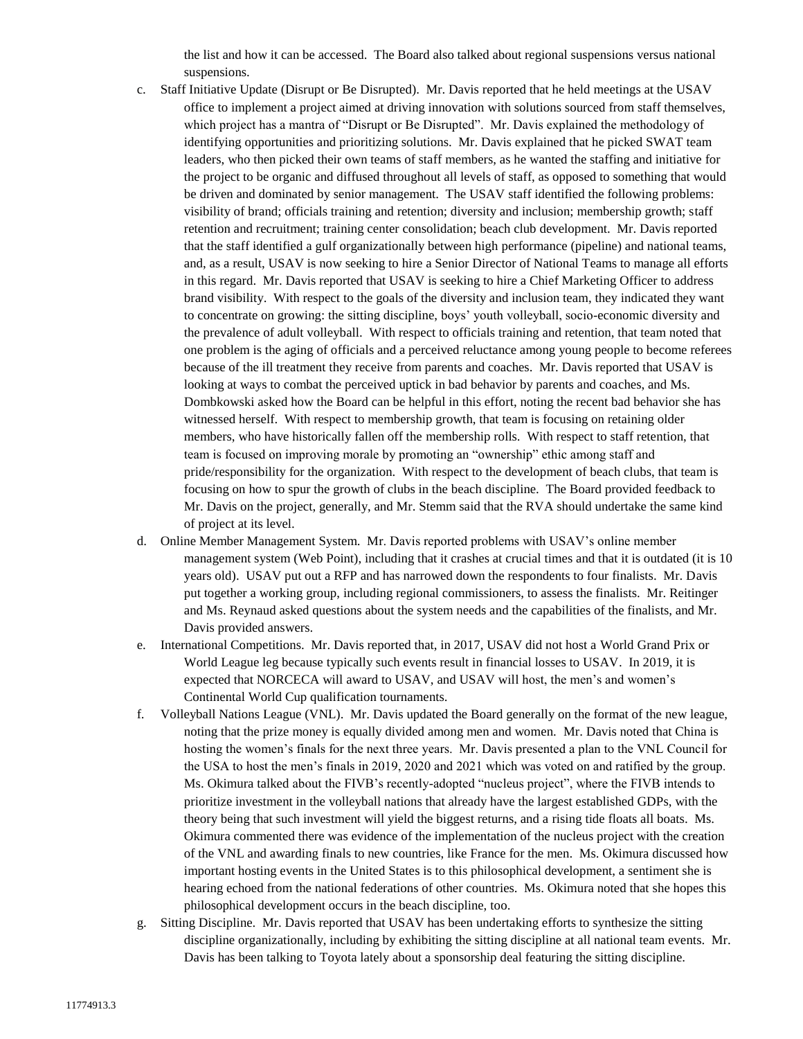the list and how it can be accessed. The Board also talked about regional suspensions versus national suspensions.

- c. Staff Initiative Update (Disrupt or Be Disrupted). Mr. Davis reported that he held meetings at the USAV office to implement a project aimed at driving innovation with solutions sourced from staff themselves, which project has a mantra of "Disrupt or Be Disrupted". Mr. Davis explained the methodology of identifying opportunities and prioritizing solutions. Mr. Davis explained that he picked SWAT team leaders, who then picked their own teams of staff members, as he wanted the staffing and initiative for the project to be organic and diffused throughout all levels of staff, as opposed to something that would be driven and dominated by senior management. The USAV staff identified the following problems: visibility of brand; officials training and retention; diversity and inclusion; membership growth; staff retention and recruitment; training center consolidation; beach club development. Mr. Davis reported that the staff identified a gulf organizationally between high performance (pipeline) and national teams, and, as a result, USAV is now seeking to hire a Senior Director of National Teams to manage all efforts in this regard. Mr. Davis reported that USAV is seeking to hire a Chief Marketing Officer to address brand visibility. With respect to the goals of the diversity and inclusion team, they indicated they want to concentrate on growing: the sitting discipline, boys' youth volleyball, socio-economic diversity and the prevalence of adult volleyball. With respect to officials training and retention, that team noted that one problem is the aging of officials and a perceived reluctance among young people to become referees because of the ill treatment they receive from parents and coaches. Mr. Davis reported that USAV is looking at ways to combat the perceived uptick in bad behavior by parents and coaches, and Ms. Dombkowski asked how the Board can be helpful in this effort, noting the recent bad behavior she has witnessed herself. With respect to membership growth, that team is focusing on retaining older members, who have historically fallen off the membership rolls. With respect to staff retention, that team is focused on improving morale by promoting an "ownership" ethic among staff and pride/responsibility for the organization. With respect to the development of beach clubs, that team is focusing on how to spur the growth of clubs in the beach discipline. The Board provided feedback to Mr. Davis on the project, generally, and Mr. Stemm said that the RVA should undertake the same kind of project at its level.
- d. Online Member Management System. Mr. Davis reported problems with USAV's online member management system (Web Point), including that it crashes at crucial times and that it is outdated (it is 10 years old). USAV put out a RFP and has narrowed down the respondents to four finalists. Mr. Davis put together a working group, including regional commissioners, to assess the finalists. Mr. Reitinger and Ms. Reynaud asked questions about the system needs and the capabilities of the finalists, and Mr. Davis provided answers.
- e. International Competitions. Mr. Davis reported that, in 2017, USAV did not host a World Grand Prix or World League leg because typically such events result in financial losses to USAV. In 2019, it is expected that NORCECA will award to USAV, and USAV will host, the men's and women's Continental World Cup qualification tournaments.
- f. Volleyball Nations League (VNL). Mr. Davis updated the Board generally on the format of the new league, noting that the prize money is equally divided among men and women. Mr. Davis noted that China is hosting the women's finals for the next three years. Mr. Davis presented a plan to the VNL Council for the USA to host the men's finals in 2019, 2020 and 2021 which was voted on and ratified by the group. Ms. Okimura talked about the FIVB's recently-adopted "nucleus project", where the FIVB intends to prioritize investment in the volleyball nations that already have the largest established GDPs, with the theory being that such investment will yield the biggest returns, and a rising tide floats all boats. Ms. Okimura commented there was evidence of the implementation of the nucleus project with the creation of the VNL and awarding finals to new countries, like France for the men. Ms. Okimura discussed how important hosting events in the United States is to this philosophical development, a sentiment she is hearing echoed from the national federations of other countries. Ms. Okimura noted that she hopes this philosophical development occurs in the beach discipline, too.
- g. Sitting Discipline. Mr. Davis reported that USAV has been undertaking efforts to synthesize the sitting discipline organizationally, including by exhibiting the sitting discipline at all national team events. Mr. Davis has been talking to Toyota lately about a sponsorship deal featuring the sitting discipline.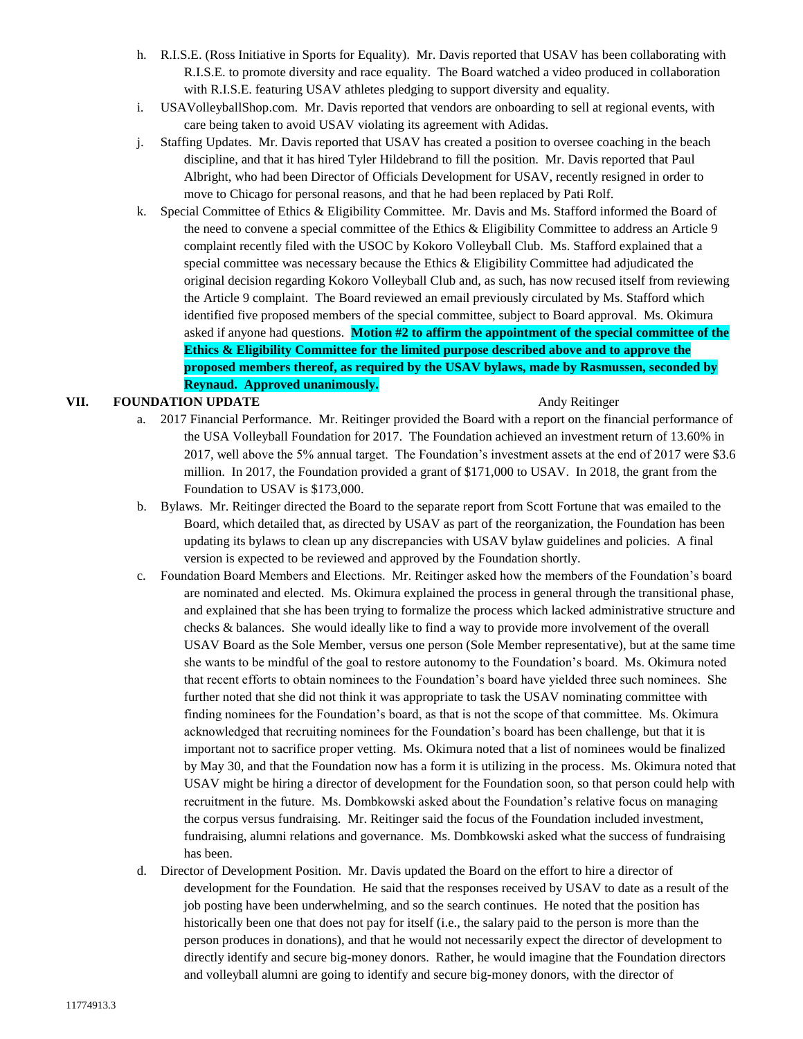- h. R.I.S.E. (Ross Initiative in Sports for Equality). Mr. Davis reported that USAV has been collaborating with R.I.S.E. to promote diversity and race equality. The Board watched a video produced in collaboration with R.I.S.E. featuring USAV athletes pledging to support diversity and equality.
- i. USAVolleyballShop.com. Mr. Davis reported that vendors are onboarding to sell at regional events, with care being taken to avoid USAV violating its agreement with Adidas.
- j. Staffing Updates. Mr. Davis reported that USAV has created a position to oversee coaching in the beach discipline, and that it has hired Tyler Hildebrand to fill the position. Mr. Davis reported that Paul Albright, who had been Director of Officials Development for USAV, recently resigned in order to move to Chicago for personal reasons, and that he had been replaced by Pati Rolf.
- k. Special Committee of Ethics & Eligibility Committee. Mr. Davis and Ms. Stafford informed the Board of the need to convene a special committee of the Ethics & Eligibility Committee to address an Article 9 complaint recently filed with the USOC by Kokoro Volleyball Club. Ms. Stafford explained that a special committee was necessary because the Ethics & Eligibility Committee had adjudicated the original decision regarding Kokoro Volleyball Club and, as such, has now recused itself from reviewing the Article 9 complaint. The Board reviewed an email previously circulated by Ms. Stafford which identified five proposed members of the special committee, subject to Board approval. Ms. Okimura asked if anyone had questions. **Motion #2 to affirm the appointment of the special committee of the Ethics & Eligibility Committee for the limited purpose described above and to approve the proposed members thereof, as required by the USAV bylaws, made by Rasmussen, seconded by Reynaud. Approved unanimously.**

### **VII. FOUNDATION UPDATE Andy Reitinger Andy Reitinger**

- a. 2017 Financial Performance. Mr. Reitinger provided the Board with a report on the financial performance of the USA Volleyball Foundation for 2017. The Foundation achieved an investment return of 13.60% in 2017, well above the 5% annual target. The Foundation's investment assets at the end of 2017 were \$3.6 million. In 2017, the Foundation provided a grant of \$171,000 to USAV. In 2018, the grant from the Foundation to USAV is \$173,000.
- b. Bylaws. Mr. Reitinger directed the Board to the separate report from Scott Fortune that was emailed to the Board, which detailed that, as directed by USAV as part of the reorganization, the Foundation has been updating its bylaws to clean up any discrepancies with USAV bylaw guidelines and policies. A final version is expected to be reviewed and approved by the Foundation shortly.
- c. Foundation Board Members and Elections. Mr. Reitinger asked how the members of the Foundation's board are nominated and elected. Ms. Okimura explained the process in general through the transitional phase, and explained that she has been trying to formalize the process which lacked administrative structure and checks & balances. She would ideally like to find a way to provide more involvement of the overall USAV Board as the Sole Member, versus one person (Sole Member representative), but at the same time she wants to be mindful of the goal to restore autonomy to the Foundation's board. Ms. Okimura noted that recent efforts to obtain nominees to the Foundation's board have yielded three such nominees. She further noted that she did not think it was appropriate to task the USAV nominating committee with finding nominees for the Foundation's board, as that is not the scope of that committee. Ms. Okimura acknowledged that recruiting nominees for the Foundation's board has been challenge, but that it is important not to sacrifice proper vetting. Ms. Okimura noted that a list of nominees would be finalized by May 30, and that the Foundation now has a form it is utilizing in the process. Ms. Okimura noted that USAV might be hiring a director of development for the Foundation soon, so that person could help with recruitment in the future. Ms. Dombkowski asked about the Foundation's relative focus on managing the corpus versus fundraising. Mr. Reitinger said the focus of the Foundation included investment, fundraising, alumni relations and governance. Ms. Dombkowski asked what the success of fundraising has been.
- d. Director of Development Position. Mr. Davis updated the Board on the effort to hire a director of development for the Foundation. He said that the responses received by USAV to date as a result of the job posting have been underwhelming, and so the search continues. He noted that the position has historically been one that does not pay for itself (i.e., the salary paid to the person is more than the person produces in donations), and that he would not necessarily expect the director of development to directly identify and secure big-money donors. Rather, he would imagine that the Foundation directors and volleyball alumni are going to identify and secure big-money donors, with the director of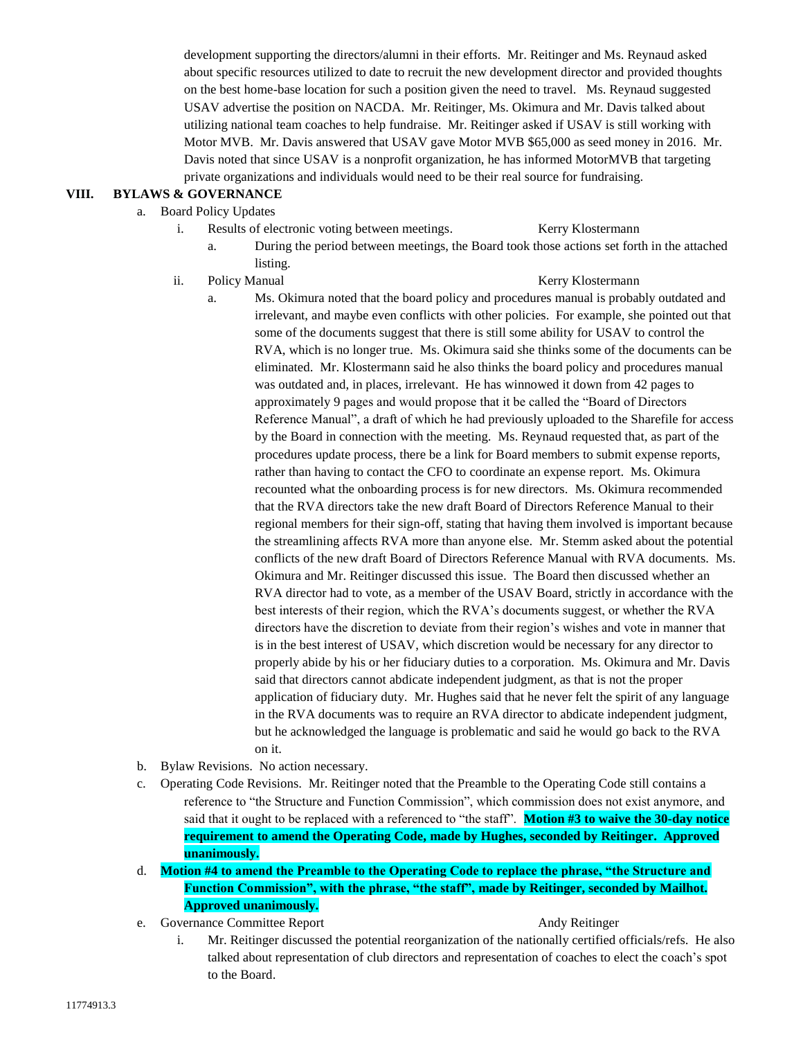development supporting the directors/alumni in their efforts. Mr. Reitinger and Ms. Reynaud asked about specific resources utilized to date to recruit the new development director and provided thoughts on the best home-base location for such a position given the need to travel. Ms. Reynaud suggested USAV advertise the position on NACDA. Mr. Reitinger, Ms. Okimura and Mr. Davis talked about utilizing national team coaches to help fundraise. Mr. Reitinger asked if USAV is still working with Motor MVB. Mr. Davis answered that USAV gave Motor MVB \$65,000 as seed money in 2016. Mr. Davis noted that since USAV is a nonprofit organization, he has informed MotorMVB that targeting private organizations and individuals would need to be their real source for fundraising.

# **VIII. BYLAWS & GOVERNANCE**

- a. Board Policy Updates
	- i. Results of electronic voting between meetings. Kerry Klostermann
		- a. During the period between meetings, the Board took those actions set forth in the attached listing.
	- ii. Policy Manual **Kerry Klostermann**

- a. Ms. Okimura noted that the board policy and procedures manual is probably outdated and irrelevant, and maybe even conflicts with other policies. For example, she pointed out that some of the documents suggest that there is still some ability for USAV to control the RVA, which is no longer true. Ms. Okimura said she thinks some of the documents can be eliminated. Mr. Klostermann said he also thinks the board policy and procedures manual was outdated and, in places, irrelevant. He has winnowed it down from 42 pages to approximately 9 pages and would propose that it be called the "Board of Directors Reference Manual", a draft of which he had previously uploaded to the Sharefile for access by the Board in connection with the meeting. Ms. Reynaud requested that, as part of the procedures update process, there be a link for Board members to submit expense reports, rather than having to contact the CFO to coordinate an expense report. Ms. Okimura recounted what the onboarding process is for new directors. Ms. Okimura recommended that the RVA directors take the new draft Board of Directors Reference Manual to their regional members for their sign-off, stating that having them involved is important because the streamlining affects RVA more than anyone else. Mr. Stemm asked about the potential conflicts of the new draft Board of Directors Reference Manual with RVA documents. Ms. Okimura and Mr. Reitinger discussed this issue. The Board then discussed whether an RVA director had to vote, as a member of the USAV Board, strictly in accordance with the best interests of their region, which the RVA's documents suggest, or whether the RVA directors have the discretion to deviate from their region's wishes and vote in manner that is in the best interest of USAV, which discretion would be necessary for any director to properly abide by his or her fiduciary duties to a corporation. Ms. Okimura and Mr. Davis said that directors cannot abdicate independent judgment, as that is not the proper application of fiduciary duty. Mr. Hughes said that he never felt the spirit of any language in the RVA documents was to require an RVA director to abdicate independent judgment, but he acknowledged the language is problematic and said he would go back to the RVA on it.
- b. Bylaw Revisions. No action necessary.
- c. Operating Code Revisions. Mr. Reitinger noted that the Preamble to the Operating Code still contains a reference to "the Structure and Function Commission", which commission does not exist anymore, and said that it ought to be replaced with a referenced to "the staff". **Motion #3 to waive the 30-day notice requirement to amend the Operating Code, made by Hughes, seconded by Reitinger. Approved unanimously.**
- d. **Motion #4 to amend the Preamble to the Operating Code to replace the phrase, "the Structure and Function Commission", with the phrase, "the staff", made by Reitinger, seconded by Mailhot. Approved unanimously.**
- e. Governance Committee Report Andy Reitinger

i. Mr. Reitinger discussed the potential reorganization of the nationally certified officials/refs. He also talked about representation of club directors and representation of coaches to elect the coach's spot to the Board.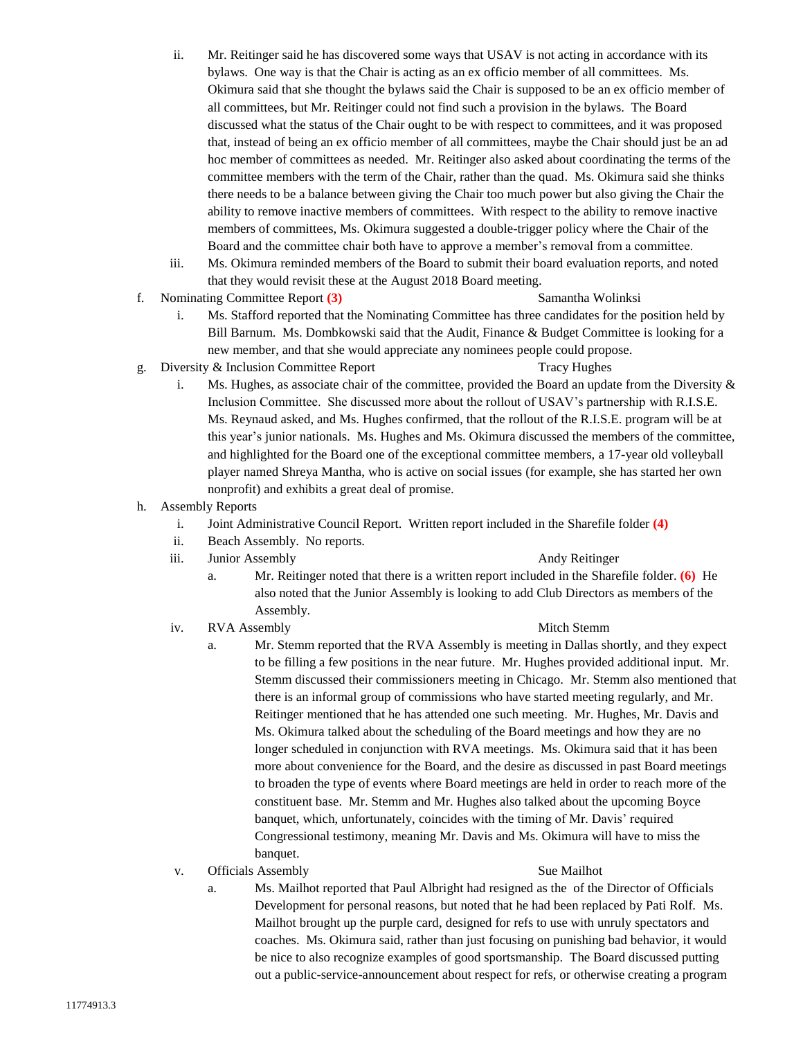- ii. Mr. Reitinger said he has discovered some ways that USAV is not acting in accordance with its bylaws. One way is that the Chair is acting as an ex officio member of all committees. Ms. Okimura said that she thought the bylaws said the Chair is supposed to be an ex officio member of all committees, but Mr. Reitinger could not find such a provision in the bylaws. The Board discussed what the status of the Chair ought to be with respect to committees, and it was proposed that, instead of being an ex officio member of all committees, maybe the Chair should just be an ad hoc member of committees as needed. Mr. Reitinger also asked about coordinating the terms of the committee members with the term of the Chair, rather than the quad. Ms. Okimura said she thinks there needs to be a balance between giving the Chair too much power but also giving the Chair the ability to remove inactive members of committees. With respect to the ability to remove inactive members of committees, Ms. Okimura suggested a double-trigger policy where the Chair of the Board and the committee chair both have to approve a member's removal from a committee.
- iii. Ms. Okimura reminded members of the Board to submit their board evaluation reports, and noted that they would revisit these at the August 2018 Board meeting.
- f. Nominating Committee Report **(3)** Samantha Wolinksi

- i. Ms. Stafford reported that the Nominating Committee has three candidates for the position held by Bill Barnum. Ms. Dombkowski said that the Audit, Finance & Budget Committee is looking for a new member, and that she would appreciate any nominees people could propose.
- g. Diversity & Inclusion Committee Report Tracy Hughes
	- i. Ms. Hughes, as associate chair of the committee, provided the Board an update from the Diversity & Inclusion Committee. She discussed more about the rollout of USAV's partnership with R.I.S.E. Ms. Reynaud asked, and Ms. Hughes confirmed, that the rollout of the R.I.S.E. program will be at this year's junior nationals. Ms. Hughes and Ms. Okimura discussed the members of the committee, and highlighted for the Board one of the exceptional committee members, a 17-year old volleyball player named Shreya Mantha, who is active on social issues (for example, she has started her own nonprofit) and exhibits a great deal of promise.
- h. Assembly Reports
	- i. Joint Administrative Council Report. Written report included in the Sharefile folder **(4)**
	- ii. Beach Assembly. No reports.
	- iii. Junior Assembly **Andy Reitinger** Andy Reitinger

- a. Mr. Reitinger noted that there is a written report included in the Sharefile folder. **(6)** He also noted that the Junior Assembly is looking to add Club Directors as members of the Assembly.
- iv. RVA Assembly Mitch Stemm

- a. Mr. Stemm reported that the RVA Assembly is meeting in Dallas shortly, and they expect to be filling a few positions in the near future. Mr. Hughes provided additional input. Mr. Stemm discussed their commissioners meeting in Chicago. Mr. Stemm also mentioned that there is an informal group of commissions who have started meeting regularly, and Mr. Reitinger mentioned that he has attended one such meeting. Mr. Hughes, Mr. Davis and Ms. Okimura talked about the scheduling of the Board meetings and how they are no longer scheduled in conjunction with RVA meetings. Ms. Okimura said that it has been more about convenience for the Board, and the desire as discussed in past Board meetings to broaden the type of events where Board meetings are held in order to reach more of the constituent base. Mr. Stemm and Mr. Hughes also talked about the upcoming Boyce banquet, which, unfortunately, coincides with the timing of Mr. Davis' required Congressional testimony, meaning Mr. Davis and Ms. Okimura will have to miss the banquet.
- v. Officials Assembly Sue Mailhot Sue Mailhot

a. Ms. Mailhot reported that Paul Albright had resigned as the of the Director of Officials Development for personal reasons, but noted that he had been replaced by Pati Rolf. Ms. Mailhot brought up the purple card, designed for refs to use with unruly spectators and coaches. Ms. Okimura said, rather than just focusing on punishing bad behavior, it would be nice to also recognize examples of good sportsmanship. The Board discussed putting out a public-service-announcement about respect for refs, or otherwise creating a program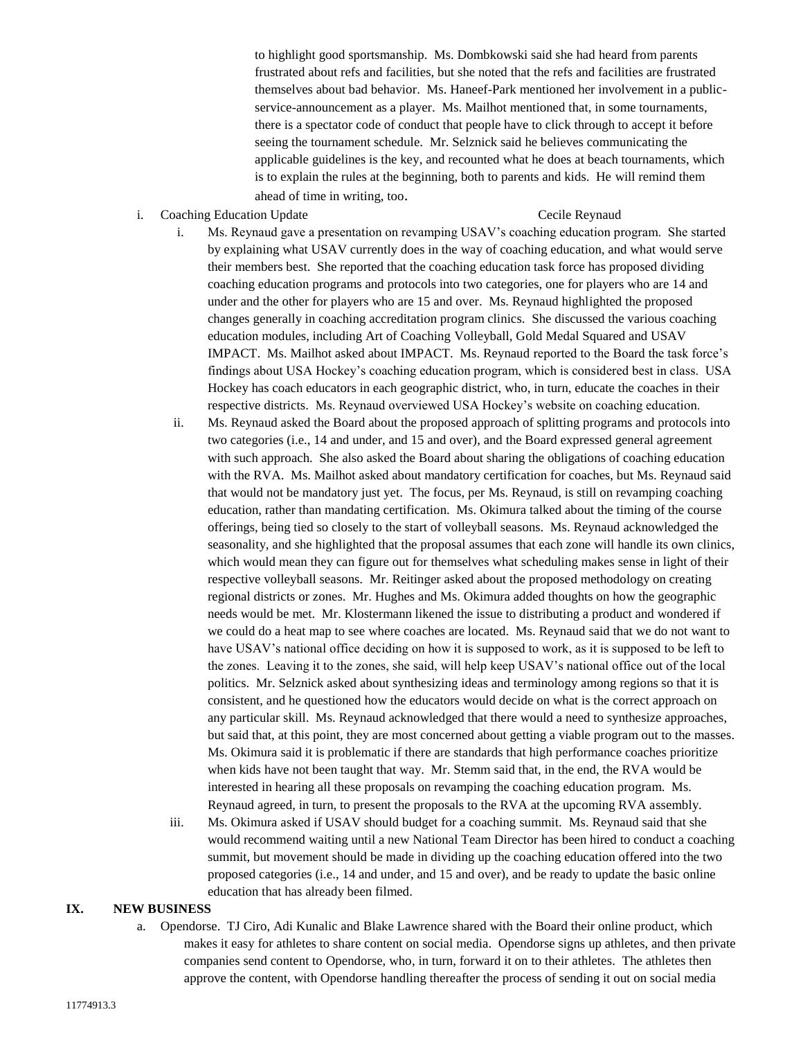to highlight good sportsmanship. Ms. Dombkowski said she had heard from parents frustrated about refs and facilities, but she noted that the refs and facilities are frustrated themselves about bad behavior. Ms. Haneef-Park mentioned her involvement in a publicservice-announcement as a player. Ms. Mailhot mentioned that, in some tournaments, there is a spectator code of conduct that people have to click through to accept it before seeing the tournament schedule. Mr. Selznick said he believes communicating the applicable guidelines is the key, and recounted what he does at beach tournaments, which is to explain the rules at the beginning, both to parents and kids. He will remind them ahead of time in writing, too.

i. Coaching Education Update **Cecile Reynaud** Cecile Reynaud

- i. Ms. Reynaud gave a presentation on revamping USAV's coaching education program. She started by explaining what USAV currently does in the way of coaching education, and what would serve their members best. She reported that the coaching education task force has proposed dividing coaching education programs and protocols into two categories, one for players who are 14 and under and the other for players who are 15 and over. Ms. Reynaud highlighted the proposed changes generally in coaching accreditation program clinics. She discussed the various coaching education modules, including Art of Coaching Volleyball, Gold Medal Squared and USAV IMPACT. Ms. Mailhot asked about IMPACT. Ms. Reynaud reported to the Board the task force's findings about USA Hockey's coaching education program, which is considered best in class. USA Hockey has coach educators in each geographic district, who, in turn, educate the coaches in their respective districts. Ms. Reynaud overviewed USA Hockey's website on coaching education.
- ii. Ms. Reynaud asked the Board about the proposed approach of splitting programs and protocols into two categories (i.e., 14 and under, and 15 and over), and the Board expressed general agreement with such approach. She also asked the Board about sharing the obligations of coaching education with the RVA. Ms. Mailhot asked about mandatory certification for coaches, but Ms. Reynaud said that would not be mandatory just yet. The focus, per Ms. Reynaud, is still on revamping coaching education, rather than mandating certification. Ms. Okimura talked about the timing of the course offerings, being tied so closely to the start of volleyball seasons. Ms. Reynaud acknowledged the seasonality, and she highlighted that the proposal assumes that each zone will handle its own clinics, which would mean they can figure out for themselves what scheduling makes sense in light of their respective volleyball seasons. Mr. Reitinger asked about the proposed methodology on creating regional districts or zones. Mr. Hughes and Ms. Okimura added thoughts on how the geographic needs would be met. Mr. Klostermann likened the issue to distributing a product and wondered if we could do a heat map to see where coaches are located. Ms. Reynaud said that we do not want to have USAV's national office deciding on how it is supposed to work, as it is supposed to be left to the zones. Leaving it to the zones, she said, will help keep USAV's national office out of the local politics. Mr. Selznick asked about synthesizing ideas and terminology among regions so that it is consistent, and he questioned how the educators would decide on what is the correct approach on any particular skill. Ms. Reynaud acknowledged that there would a need to synthesize approaches, but said that, at this point, they are most concerned about getting a viable program out to the masses. Ms. Okimura said it is problematic if there are standards that high performance coaches prioritize when kids have not been taught that way. Mr. Stemm said that, in the end, the RVA would be interested in hearing all these proposals on revamping the coaching education program. Ms. Reynaud agreed, in turn, to present the proposals to the RVA at the upcoming RVA assembly.
- iii. Ms. Okimura asked if USAV should budget for a coaching summit. Ms. Reynaud said that she would recommend waiting until a new National Team Director has been hired to conduct a coaching summit, but movement should be made in dividing up the coaching education offered into the two proposed categories (i.e., 14 and under, and 15 and over), and be ready to update the basic online education that has already been filmed.

### **IX. NEW BUSINESS**

a. Opendorse. TJ Ciro, Adi Kunalic and Blake Lawrence shared with the Board their online product, which makes it easy for athletes to share content on social media. Opendorse signs up athletes, and then private companies send content to Opendorse, who, in turn, forward it on to their athletes. The athletes then approve the content, with Opendorse handling thereafter the process of sending it out on social media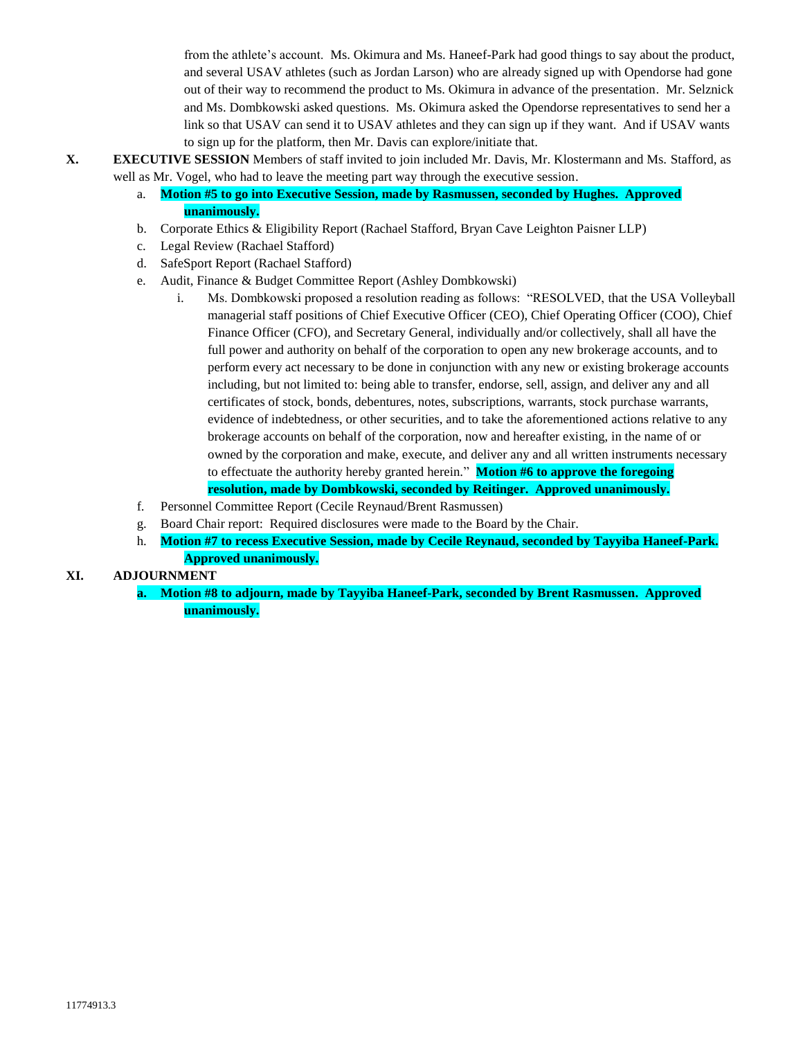from the athlete's account. Ms. Okimura and Ms. Haneef-Park had good things to say about the product, and several USAV athletes (such as Jordan Larson) who are already signed up with Opendorse had gone out of their way to recommend the product to Ms. Okimura in advance of the presentation. Mr. Selznick and Ms. Dombkowski asked questions. Ms. Okimura asked the Opendorse representatives to send her a link so that USAV can send it to USAV athletes and they can sign up if they want. And if USAV wants to sign up for the platform, then Mr. Davis can explore/initiate that.

- **X. EXECUTIVE SESSION** Members of staff invited to join included Mr. Davis, Mr. Klostermann and Ms. Stafford, as well as Mr. Vogel, who had to leave the meeting part way through the executive session.
	- a. **Motion #5 to go into Executive Session, made by Rasmussen, seconded by Hughes. Approved unanimously.**
	- b. Corporate Ethics & Eligibility Report (Rachael Stafford, Bryan Cave Leighton Paisner LLP)
	- c. Legal Review (Rachael Stafford)
	- d. SafeSport Report (Rachael Stafford)
	- e. Audit, Finance & Budget Committee Report (Ashley Dombkowski)
		- i. Ms. Dombkowski proposed a resolution reading as follows: "RESOLVED, that the USA Volleyball managerial staff positions of Chief Executive Officer (CEO), Chief Operating Officer (COO), Chief Finance Officer (CFO), and Secretary General, individually and/or collectively, shall all have the full power and authority on behalf of the corporation to open any new brokerage accounts, and to perform every act necessary to be done in conjunction with any new or existing brokerage accounts including, but not limited to: being able to transfer, endorse, sell, assign, and deliver any and all certificates of stock, bonds, debentures, notes, subscriptions, warrants, stock purchase warrants, evidence of indebtedness, or other securities, and to take the aforementioned actions relative to any brokerage accounts on behalf of the corporation, now and hereafter existing, in the name of or owned by the corporation and make, execute, and deliver any and all written instruments necessary to effectuate the authority hereby granted herein." **Motion #6 to approve the foregoing resolution, made by Dombkowski, seconded by Reitinger. Approved unanimously.**
	- f. Personnel Committee Report (Cecile Reynaud/Brent Rasmussen)
	- g. Board Chair report: Required disclosures were made to the Board by the Chair.
	- h. **Motion #7 to recess Executive Session, made by Cecile Reynaud, seconded by Tayyiba Haneef-Park. Approved unanimously.**

### **XI. ADJOURNMENT**

**a. Motion #8 to adjourn, made by Tayyiba Haneef-Park, seconded by Brent Rasmussen. Approved unanimously.**